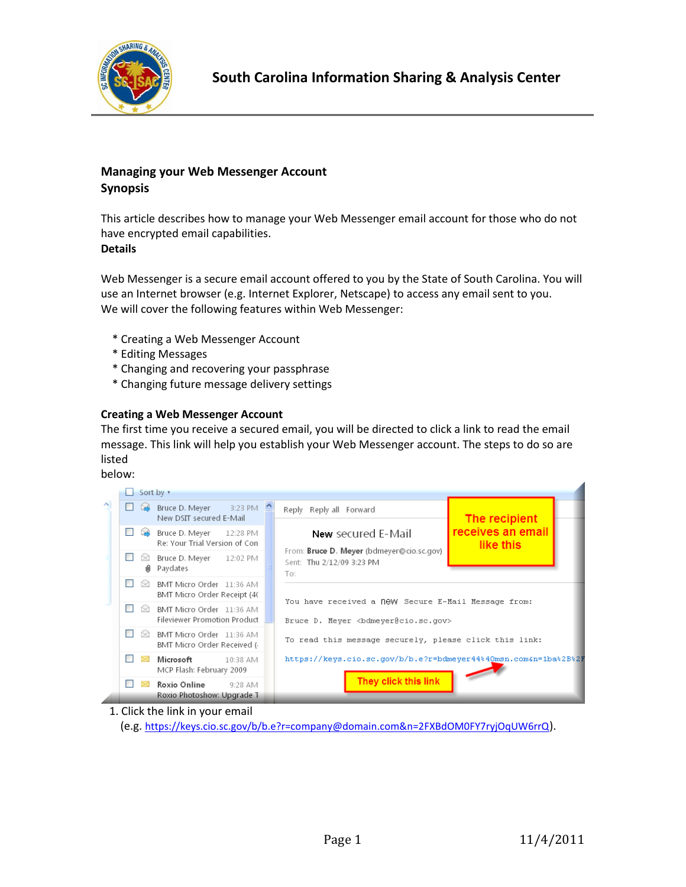

# **Managing your Web Messenger Account Synopsis**

This article describes how to manage your Web Messenger email account for those who do not have encrypted email capabilities. **Details**

Web Messenger is a secure email account offered to you by the State of South Carolina. You will use an Internet browser (e.g. Internet Explorer, Netscape) to access any email sent to you. We will cover the following features within Web Messenger:

- \* Creating a Web Messenger Account
- \* Editing Messages
- \* Changing and recovering your passphrase
- \* Changing future message delivery settings

### **Creating a Web Messenger Account**

The first time you receive a secured email, you will be directed to click a link to read the email message. This link will help you establish your Web Messenger account. The steps to do so are listed

below:



1. Click the link in your email

(e.g. https://keys.cio.sc.gov/b/b.e?r=company@domain.com&n=2FXBdOM0FY7ryjOqUW6rrQ).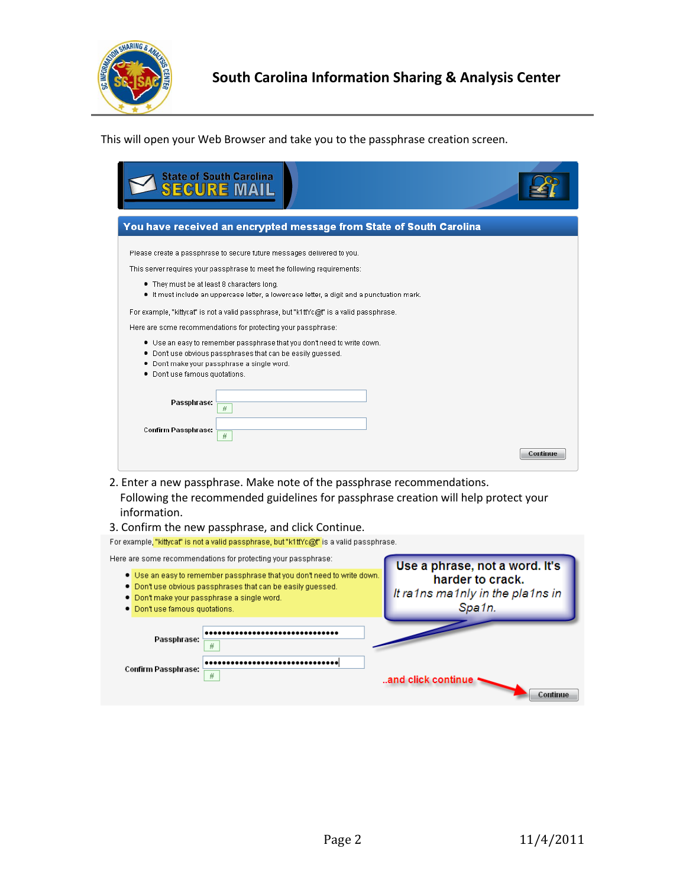

This will open your Web Browser and take you to the passphrase creation screen.

| <b>State of South Carolina</b>                                                                                                                                                                                                                                                                                                                                                                                                                                                                                                                                                                                                                       |          |
|------------------------------------------------------------------------------------------------------------------------------------------------------------------------------------------------------------------------------------------------------------------------------------------------------------------------------------------------------------------------------------------------------------------------------------------------------------------------------------------------------------------------------------------------------------------------------------------------------------------------------------------------------|----------|
| You have received an encrypted message from State of South Carolina                                                                                                                                                                                                                                                                                                                                                                                                                                                                                                                                                                                  |          |
| Please create a passphrase to secure future messages delivered to you.<br>This server requires your passphrase to meet the following requirements:<br>. They must be at least 8 characters long.<br>. It must include an uppercase letter, a lowercase letter, a digit and a punctuation mark.<br>For example, "kittycat" is not a valid passphrase, but "k1ttYc@t" is a valid passphrase.<br>Here are some recommendations for protecting your passphrase:<br>. Use an easy to remember passphrase that you don't need to write down.<br>. Don't use obvious passphrases that can be easily guessed.<br>. Don't make your passphrase a single word. |          |
| . Don't use famous quotations.<br>Passphrase:<br>并<br>Confirm Passphrase:<br>#                                                                                                                                                                                                                                                                                                                                                                                                                                                                                                                                                                       |          |
|                                                                                                                                                                                                                                                                                                                                                                                                                                                                                                                                                                                                                                                      | Continue |

- 2. Enter a new passphrase. Make note of the passphrase recommendations. Following the recommended guidelines for passphrase creation will help protect your information.
- 

3. Confirm the new passphrase, and click Continue.<br>For example, "kittycat" is not a valid passphrase, but "k1ttYc@t" is a valid passphrase.

| Here are some recommendations for protecting your passphrase:                                                                                                                                                           | Use a phrase, not a word. It's                                 |
|-------------------------------------------------------------------------------------------------------------------------------------------------------------------------------------------------------------------------|----------------------------------------------------------------|
| . Use an easy to remember passphrase that you don't need to write down.<br>. Don't use obvious passphrases that can be easily quessed.<br>. Don't make your passphrase a single word.<br>• Don't use famous quotations. | harder to crack.<br>It ra1ns ma1nly in the pla1ns in<br>Spa1n. |
| Passphrase:<br>#                                                                                                                                                                                                        |                                                                |
| Confirm Passphrase:<br>#                                                                                                                                                                                                | and click continue<br>Continue                                 |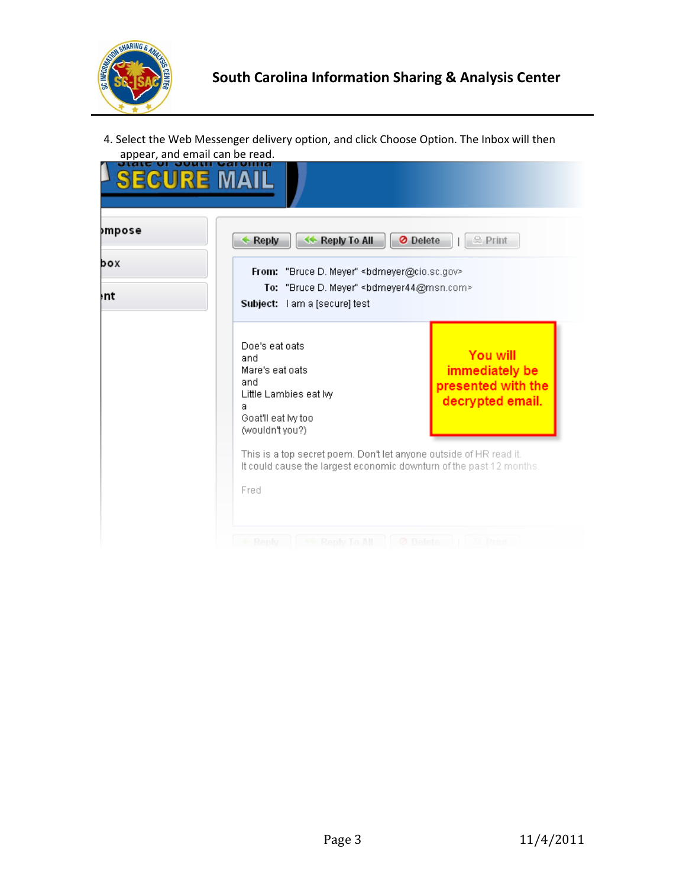

4. Select the Web Messenger delivery option, and click Choose Option. The Inbox will then appear, and email can be read.

| <b>&gt;mpose</b> | Reply To All<br>Reply                                                                                                                                  | O Delete<br>$\oplus$ Print                                           |
|------------------|--------------------------------------------------------------------------------------------------------------------------------------------------------|----------------------------------------------------------------------|
| box<br>ŀnt       | From: "Bruce D. Meyer" <bdmeyer@cio.sc.gov><br/>To: "Bruce D. Meyer" <br/>sdmeyer44@msn.com&gt;<br/>Subject: I am a [secure] test</bdmeyer@cio.sc.gov> |                                                                      |
|                  | Doe's eat oats<br>and<br>Mare's eat oats<br>and<br>Little Lambies eat lw<br>a<br>Goat'll eat by too<br>(wouldn't you?)                                 | You will<br>immediately be<br>presented with the<br>decrypted email. |
|                  | This is a top secret poem. Don't let anyone outside of HR read it.<br>It could cause the largest economic downturn of the past 12 months.<br>Fred      |                                                                      |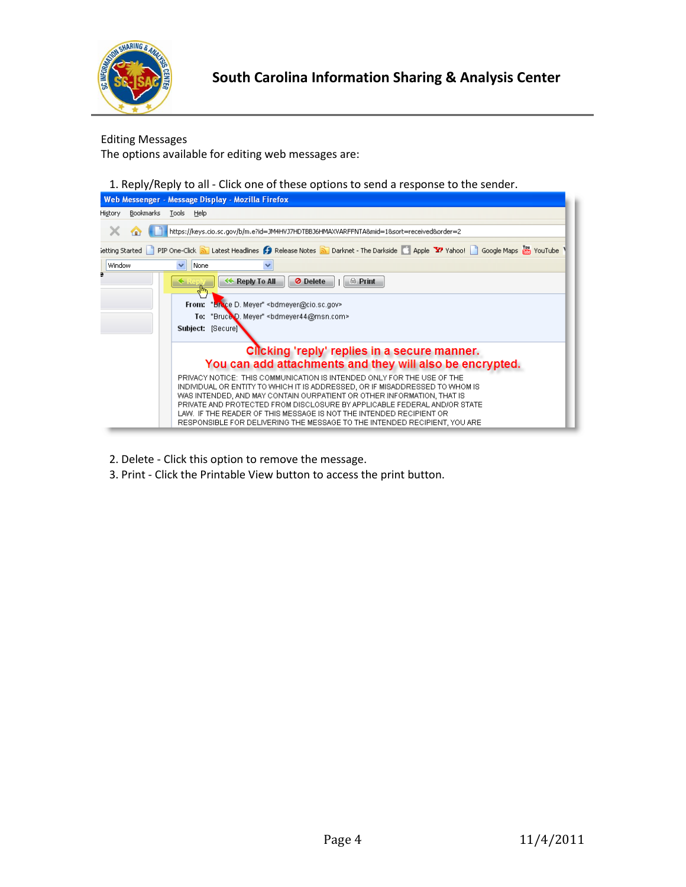

Editing Messages

The options available for editing web messages are:

1. Reply/Reply to all - Click one of these options to send a response to the sender.



- 2. Delete Click this option to remove the message.
- 3. Print Click the Printable View button to access the print button.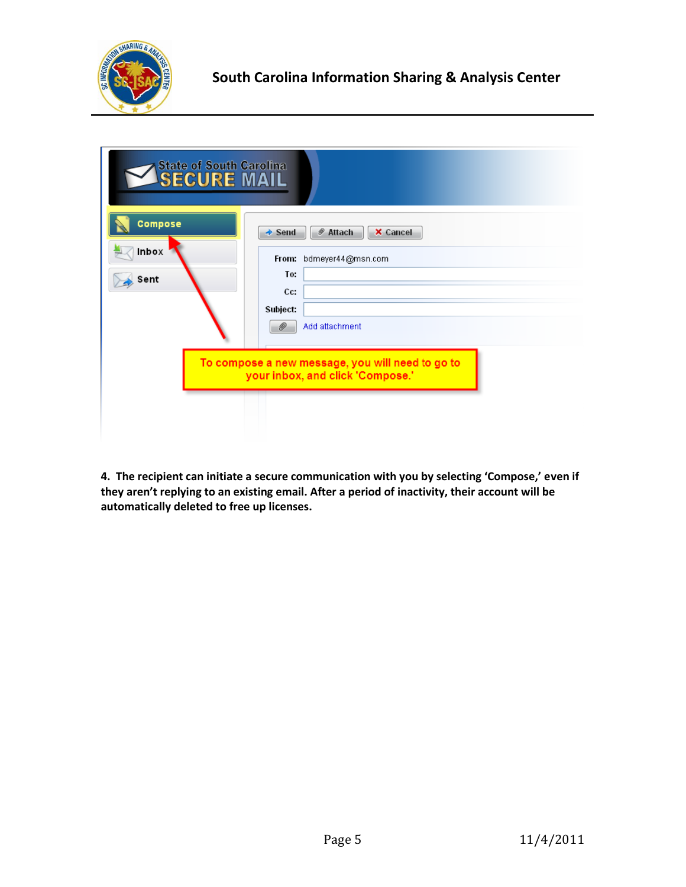

| <b>State of South Carolina</b><br>SECURE MAIL |                                                                                                                                       |
|-----------------------------------------------|---------------------------------------------------------------------------------------------------------------------------------------|
| <b>Compose</b><br>Inbox<br>Sent               | <b>X</b> Cancel<br><i>●</i> Attach<br>$\rightarrow$ Send<br>From: bdmeyer44@msn.com<br>To:<br>Cc:<br>Subject:<br>D)<br>Add attachment |
|                                               | To compose a new message, you will need to go to<br>your inbox, and click 'Compose.'                                                  |

**4. The recipient can initiate a secure communication with you by selecting 'Compose,' even if they aren't replying to an existing email. After a period of inactivity, their account will be automatically deleted to free up licenses.**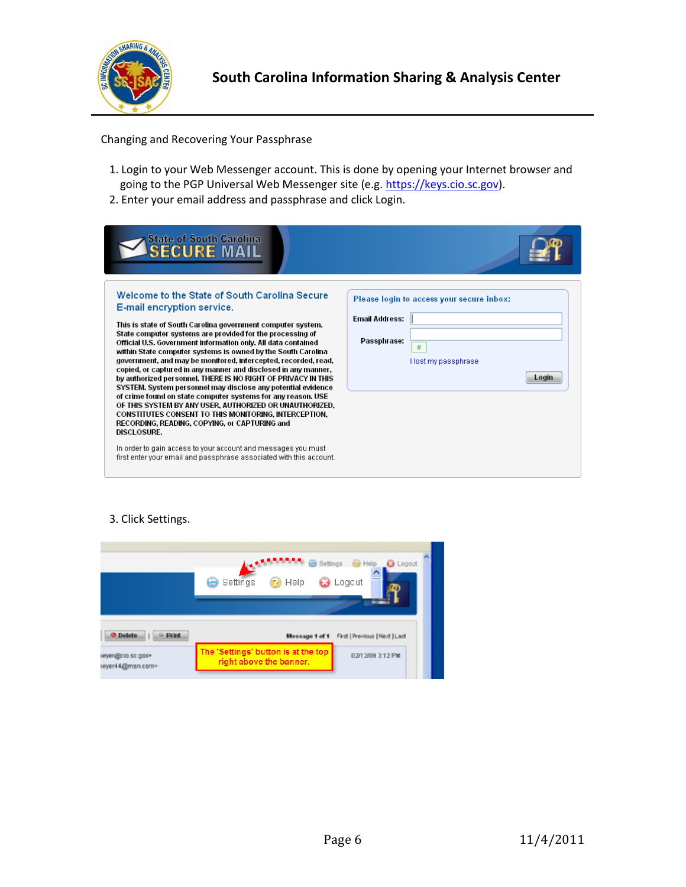

Changing and Recovering Your Passphrase

- 1. Login to your Web Messenger account. This is done by opening your Internet browser and going to the PGP Universal Web Messenger site (e.g. https://keys.cio.sc.gov).
- 2. Enter your email address and passphrase and click Login.

| Welcome to the State of South Carolina Secure<br>Please login to access your secure inbox:<br>E-mail encryption service.<br><b>Email Address:</b><br>This is state of South Carolina government computer system.<br>State computer systems are provided for the processing of<br>Passphrase:<br>Official U.S. Government information only. All data contained<br>#<br>within State computer systems is owned by the South Carolina<br>government, and may be monitored, intercepted, recorded, read,<br>Host my passphrase<br>copied, or captured in any manner and disclosed in any manner,<br>Login<br>by authorized personnel. THERE IS NO RIGHT OF PRIVACY IN THIS<br>SYSTEM. System personnel may disclose any potential evidence<br>of crime found on state computer systems for any reason. USE<br>OF THIS SYSTEM BY ANY USER, AUTHORIZED OR UNAUTHORIZED,<br>CONSTITUTES CONSENT TO THIS MONITORING, INTERCEPTION,<br>RECORDING, READING, COPYING, or CAPTURING and<br><b>DISCLOSURE.</b><br>In order to gain access to your account and messages you must<br>first enter your email and passphrase associated with this account. | <b>State of South Carolina</b><br><b>ECURE MA</b> |  |
|-------------------------------------------------------------------------------------------------------------------------------------------------------------------------------------------------------------------------------------------------------------------------------------------------------------------------------------------------------------------------------------------------------------------------------------------------------------------------------------------------------------------------------------------------------------------------------------------------------------------------------------------------------------------------------------------------------------------------------------------------------------------------------------------------------------------------------------------------------------------------------------------------------------------------------------------------------------------------------------------------------------------------------------------------------------------------------------------------------------------------------------------|---------------------------------------------------|--|
|                                                                                                                                                                                                                                                                                                                                                                                                                                                                                                                                                                                                                                                                                                                                                                                                                                                                                                                                                                                                                                                                                                                                           |                                                   |  |

#### 3. Click Settings.

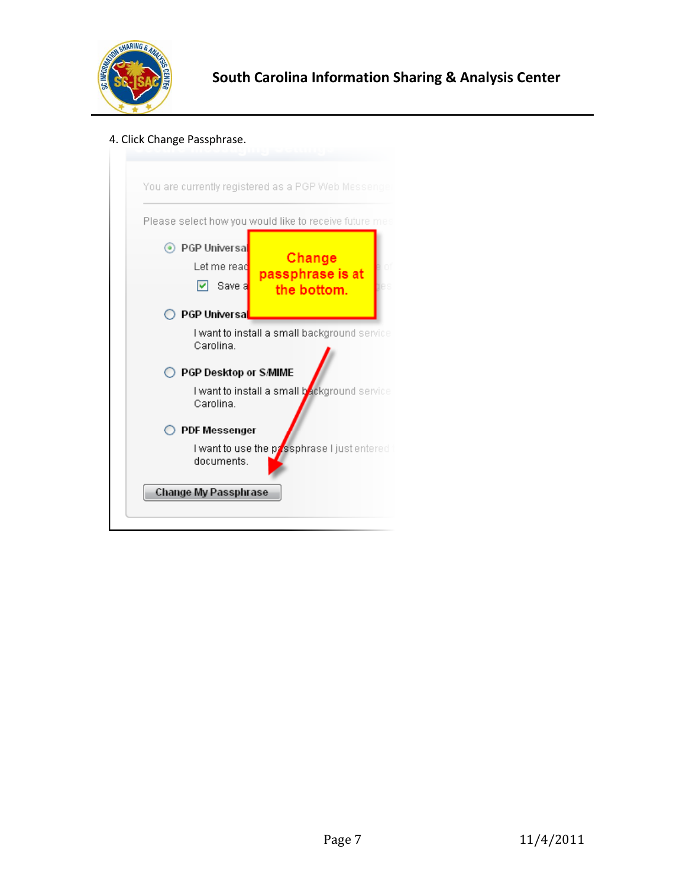

## 4. Click Change Passphrase.

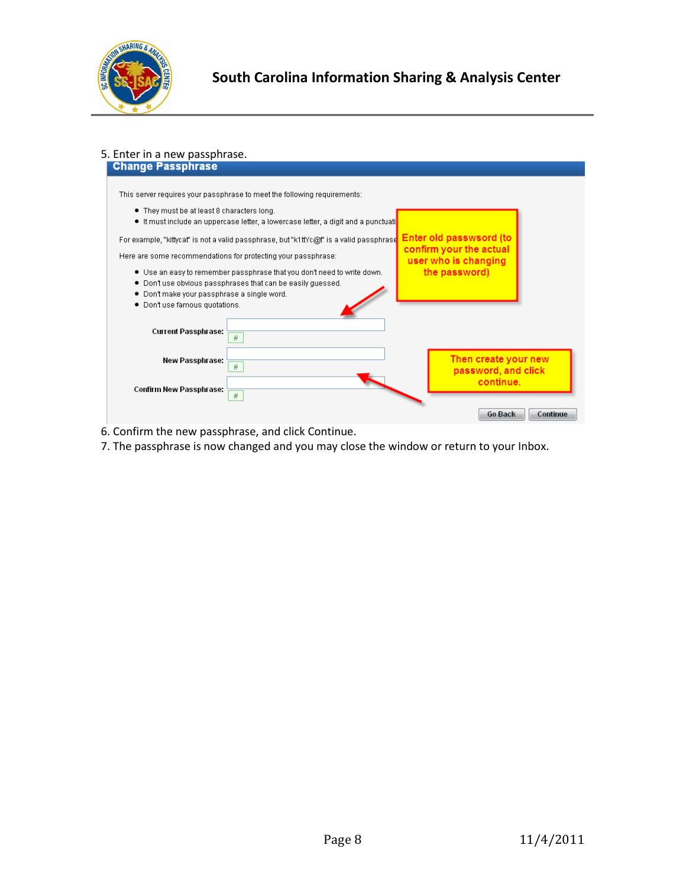

#### 5. Enter in a new passphrase.<br> **Change Passphrase** This server requires your passphrase to meet the following requirements: . They must be at least 8 characters long. · It must include an uppercase letter, a lowercase letter, a digit and a punctuati Enter old passwsord (to For example, "kittycat" is not a valid passphrase, but "k1ttYc@t" is a valid passphrase confirm your the actual Here are some recommendations for protecting your passphrase: user who is changing . Use an easy to remember passphrase that you don't need to write down. the password) . Don't use obvious passphrases that can be easily guessed. . Don't make your passphrase a single word. · Don't use famous quotations. **Current Passphrase:**  $\overline{H}$ Then create your new New Passphrase:  $\#$ password, and click continue. Confirm New Passphrase:  $\overline{\#}$ Go Back Continue

6. Confirm the new passphrase, and click Continue.

7. The passphrase is now changed and you may close the window or return to your Inbox.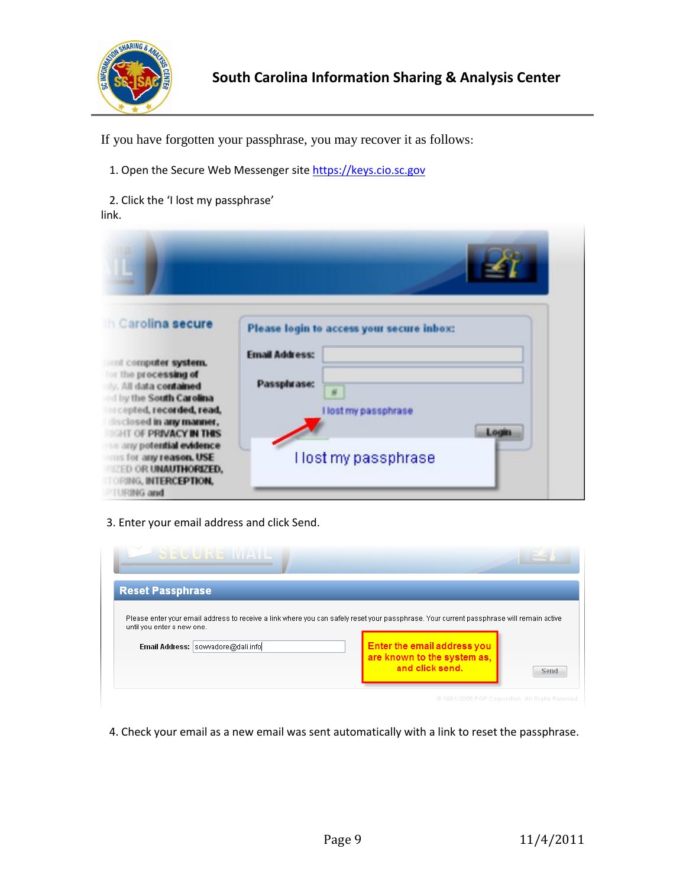

If you have forgotten your passphrase, you may recover it as follows:

- 1. Open the Secure Web Messenger site [https://keys.cio.sc.gov](https://keys.cio.sc.gov/)
- 2. Click the 'I lost my passphrase' link.

| <b>Carolina secure</b><br>and computer system.<br>or the processing of<br>M. All data contained<br>ly the South Carolina<br>copted, recorded, read,<br>disclosed in any manner.<br><b>IN THE OF PRIVACY IN THIS</b><br>se any potential evidence<br>mis for any reason. USE<br><b>ELED OR UNAUTHORIZED.</b><br><b>TORING, INTERCEPTION,</b><br><b>FURING and</b> | Please login to access your secure inbox:<br><b>Email Address:</b><br>Passpluase:<br>$\frac{H}{2}$<br>I lost my passphrase<br>Login<br>Host my passphrase |
|------------------------------------------------------------------------------------------------------------------------------------------------------------------------------------------------------------------------------------------------------------------------------------------------------------------------------------------------------------------|-----------------------------------------------------------------------------------------------------------------------------------------------------------|

3. Enter your email address and click Send.

| SEGUINE MALL                                                                                                                                                           |                                                                               |      |
|------------------------------------------------------------------------------------------------------------------------------------------------------------------------|-------------------------------------------------------------------------------|------|
| <b>Reset Passphrase</b>                                                                                                                                                |                                                                               |      |
| Please enter your email address to receive a link where you can safely reset your passphrase. Your current passphrase will remain active<br>until you enter a new one. |                                                                               |      |
| Email Address: sowvadore@dali.info                                                                                                                                     | Enter the email address you<br>are known to the system as,<br>and click send. | Send |
|                                                                                                                                                                        | @ 1991-2008 PGP Corporation, All Rights Reserved.                             |      |

4. Check your email as a new email was sent automatically with a link to reset the passphrase.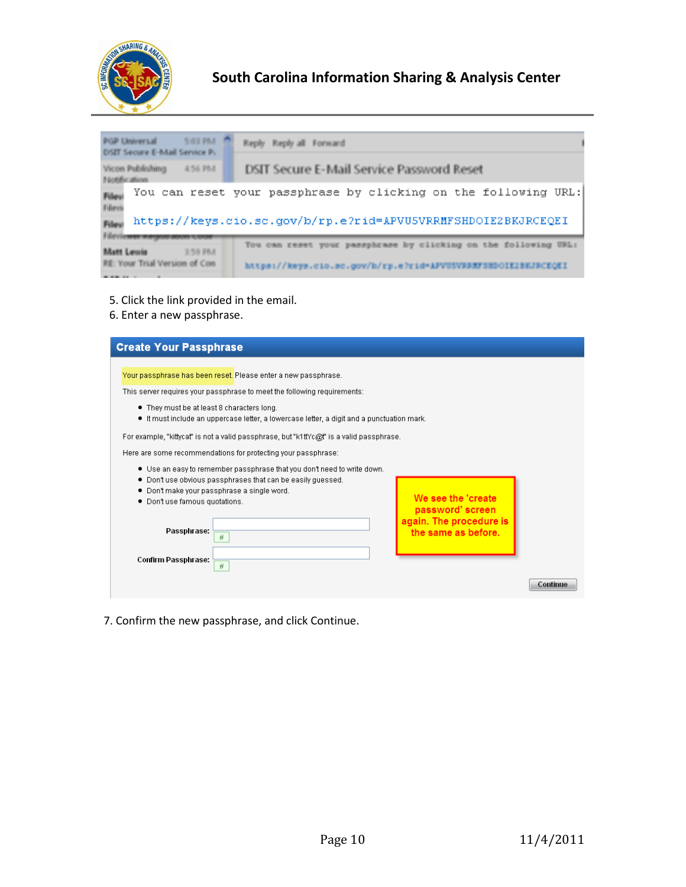

# **South Carolina Information Sharing & Analysis Center**

| 5:03 PM<br>PGP Universal<br>DISTT Secure E-Mail Service P. | Reply Reply all Forward                                         |  |
|------------------------------------------------------------|-----------------------------------------------------------------|--|
| Vicon Publishing<br>456 PM<br>Nothfication                 | DSIT Secure E-Mail Service Password Reset                       |  |
| Filevi<br>Filess                                           | You can reset your passphrase by clicking on the following URL: |  |
| Filev<br>Filiauticumum                                     | https://keys.cio.sc.gov/b/rp.e?rid=APVU5VRRMFSHDOIE2BKJRCEQEI   |  |
| <b>Matt Lemis</b><br>3.59 PM                               | You can reset your passphrase by clicking on the following URL: |  |
| RE: Your Trial Version of Con<br>_______                   | https://keys.cio.sc.gov/b/rp.e?rid=APVUSVBBMFSHDOIE2BEJPCEQEI   |  |

- 5. Click the link provided in the email.
- 6. Enter a new passphrase.

| <b>Create Your Passphrase</b>                                                                                                                                                                                                                                                                                                                                                                                                                               |                                                                                           |          |
|-------------------------------------------------------------------------------------------------------------------------------------------------------------------------------------------------------------------------------------------------------------------------------------------------------------------------------------------------------------------------------------------------------------------------------------------------------------|-------------------------------------------------------------------------------------------|----------|
| Your passphrase has been reset. Please enter a new passphrase.<br>This server requires your passphrase to meet the following requirements:<br>. They must be at least 8 characters long.<br>$\bullet$ It must include an uppercase letter, a lowercase letter, a digit and a punctuation mark.<br>For example, "kittycat" is not a valid passphrase, but "k1ttYc@t" is a valid passphrase.<br>Here are some recommendations for protecting your passphrase: |                                                                                           |          |
| $\bullet$ Use an easy to remember passphrase that you don't need to write down.<br>. Don't use obvious passphrases that can be easily guessed.<br>. Don't make your passphrase a single word.<br>. Don't use famous quotations.<br>Passphrase:<br>$\#$                                                                                                                                                                                                      | We see the 'create'<br>password' screen<br>again. The procedure is<br>the same as before. |          |
| Confirm Passphrase:<br>$\#$                                                                                                                                                                                                                                                                                                                                                                                                                                 |                                                                                           | Continue |

7. Confirm the new passphrase, and click Continue.